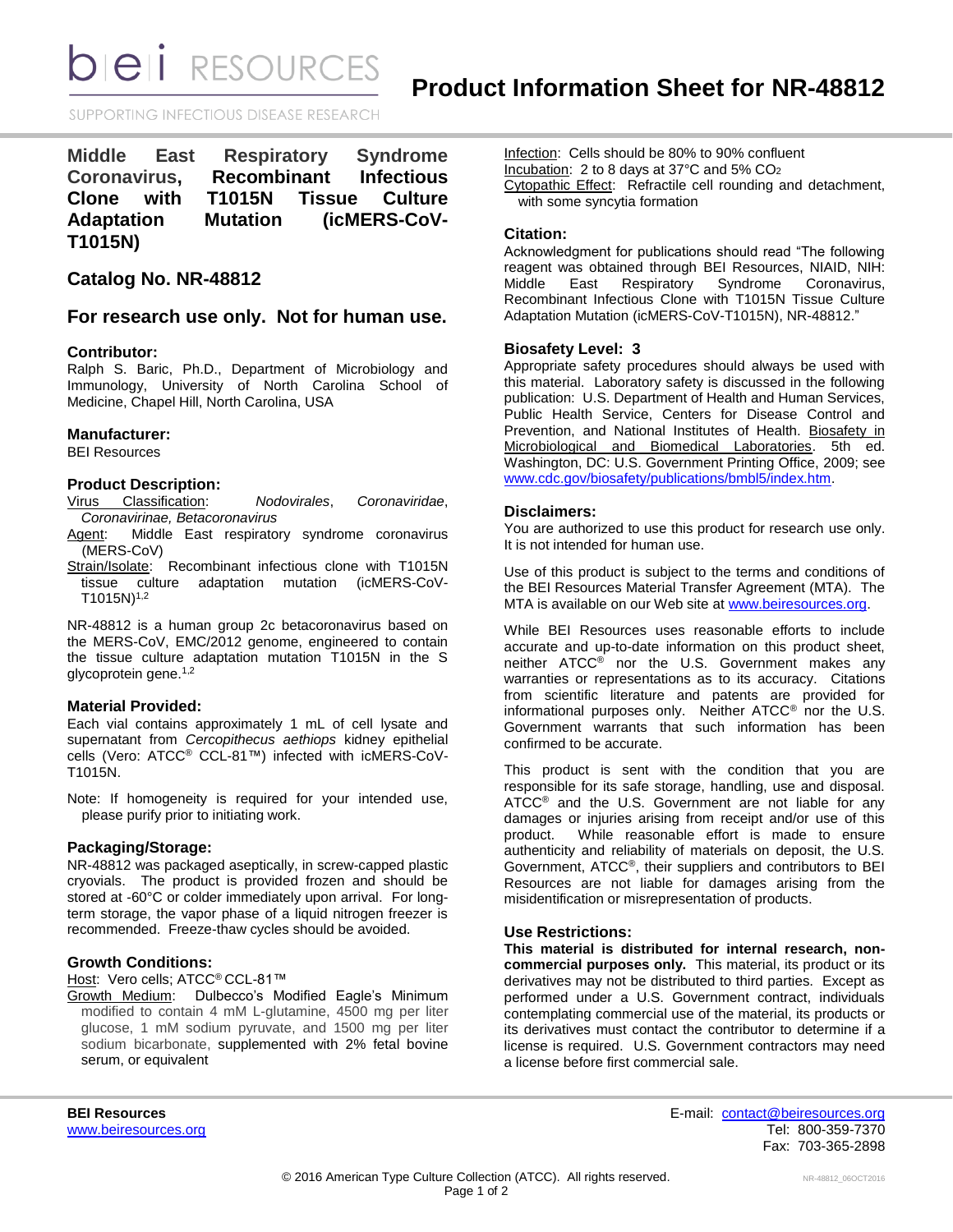**DIEII** RESOURCES

SUPPORTING INFECTIOUS DISEASE RESEARCH

| Middle East       |  | <b>Respiratory</b> |  | <b>Syndrome</b>       |  |
|-------------------|--|--------------------|--|-----------------------|--|
| Coronavirus.      |  | Recombinant        |  | <b>Infectious</b>     |  |
| Clone with        |  |                    |  | T1015N Tissue Culture |  |
| <b>Adaptation</b> |  | <b>Mutation</b>    |  | (icMERS-CoV-          |  |
| T1015N)           |  |                    |  |                       |  |

# **Catalog No. NR-48812**

# **For research use only. Not for human use.**

### **Contributor:**

Ralph S. Baric, Ph.D., Department of Microbiology and Immunology, University of North Carolina School of Medicine, Chapel Hill, North Carolina, USA

#### **Manufacturer:**

BEI Resources

### **Product Description:**

- Virus Classification: *Nodovirales*, *Coronaviridae*, *Coronavirinae, Betacoronavirus*
- Agent: Middle East respiratory syndrome coronavirus (MERS-CoV)
- Strain/Isolate: Recombinant infectious clone with T1015N tissue culture adaptation mutation (icMERS-CoV- $T1015N)^{1,2}$

NR-48812 is a human group 2c betacoronavirus based on the MERS-CoV, EMC/2012 genome, engineered to contain the tissue culture adaptation mutation T1015N in the S glycoprotein gene.<sup>1,2</sup>

#### **Material Provided:**

Each vial contains approximately 1 mL of cell lysate and supernatant from *Cercopithecus aethiops* kidney epithelial cells (Vero: ATCC® CCL-81™) infected with icMERS-CoV-T1015N.

Note: If homogeneity is required for your intended use, please purify prior to initiating work.

# **Packaging/Storage:**

NR-48812 was packaged aseptically, in screw-capped plastic cryovials. The product is provided frozen and should be stored at -60°C or colder immediately upon arrival. For longterm storage, the vapor phase of a liquid nitrogen freezer is recommended. Freeze-thaw cycles should be avoided.

# **Growth Conditions:**

Host: Vero cells; ATCC<sup>®</sup> CCL-81™

Growth Medium: Dulbecco's Modified Eagle's Minimum modified to contain 4 mM L-glutamine, 4500 mg per liter glucose, 1 mM sodium pyruvate, and 1500 mg per liter sodium bicarbonate, supplemented with 2% fetal bovine serum, or equivalent

Infection: Cells should be 80% to 90% confluent Incubation: 2 to 8 days at 37°C and 5% CO<sup>2</sup> Cytopathic Effect: Refractile cell rounding and detachment, with some syncytia formation

# **Citation:**

Acknowledgment for publications should read "The following reagent was obtained through BEI Resources, NIAID, NIH: Middle East Respiratory Syndrome Coronavirus, Recombinant Infectious Clone with T1015N Tissue Culture Adaptation Mutation (icMERS-CoV-T1015N), NR-48812."

### **Biosafety Level: 3**

Appropriate safety procedures should always be used with this material. Laboratory safety is discussed in the following publication: U.S. Department of Health and Human Services, Public Health Service, Centers for Disease Control and Prevention, and National Institutes of Health. Biosafety in Microbiological and Biomedical Laboratories. 5th ed. Washington, DC: U.S. Government Printing Office, 2009; see [www.cdc.gov/biosafety/publications/bmbl5/index.htm.](http://www.cdc.gov/biosafety/publications/bmbl5/index.htm)

### **Disclaimers:**

You are authorized to use this product for research use only. It is not intended for human use.

Use of this product is subject to the terms and conditions of the BEI Resources Material Transfer Agreement (MTA). The MTA is available on our Web site at [www.beiresources.org.](http://www.beiresources.org/)

While BEI Resources uses reasonable efforts to include accurate and up-to-date information on this product sheet, neither ATCC® nor the U.S. Government makes any warranties or representations as to its accuracy. Citations from scientific literature and patents are provided for informational purposes only. Neither ATCC® nor the U.S. Government warrants that such information has been confirmed to be accurate.

This product is sent with the condition that you are responsible for its safe storage, handling, use and disposal. ATCC<sup>®</sup> and the U.S. Government are not liable for any damages or injuries arising from receipt and/or use of this product. While reasonable effort is made to ensure While reasonable effort is made to ensure authenticity and reliability of materials on deposit, the U.S. Government, ATCC®, their suppliers and contributors to BEI Resources are not liable for damages arising from the misidentification or misrepresentation of products.

#### **Use Restrictions:**

**This material is distributed for internal research, noncommercial purposes only.** This material, its product or its derivatives may not be distributed to third parties. Except as performed under a U.S. Government contract, individuals contemplating commercial use of the material, its products or its derivatives must contact the contributor to determine if a license is required. U.S. Government contractors may need a license before first commercial sale.

**BEI Resources** E-mail: [contact@beiresources.org](mailto:contact@beiresources.org) [www.beiresources.org](http://www.beiresources.org/) **Tel: 800-359-7370** Fax: 703-365-2898